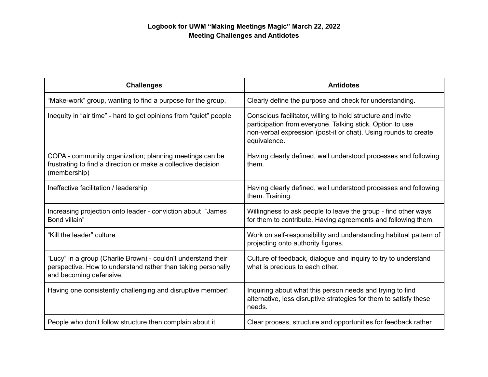## **Logbook for UWM "Making Meetings Magic" March 22, 2022 Meeting Challenges and Antidotes**

| <b>Challenges</b>                                                                                                                                        | <b>Antidotes</b>                                                                                                                                                                                            |
|----------------------------------------------------------------------------------------------------------------------------------------------------------|-------------------------------------------------------------------------------------------------------------------------------------------------------------------------------------------------------------|
| "Make-work" group, wanting to find a purpose for the group.                                                                                              | Clearly define the purpose and check for understanding.                                                                                                                                                     |
| Inequity in "air time" - hard to get opinions from "quiet" people                                                                                        | Conscious facilitator, willing to hold structure and invite<br>participation from everyone. Talking stick. Option to use<br>non-verbal expression (post-it or chat). Using rounds to create<br>equivalence. |
| COPA - community organization; planning meetings can be<br>frustrating to find a direction or make a collective decision<br>(membership)                 | Having clearly defined, well understood processes and following<br>them.                                                                                                                                    |
| Ineffective facilitation / leadership                                                                                                                    | Having clearly defined, well understood processes and following<br>them. Training.                                                                                                                          |
| Increasing projection onto leader - conviction about "James"<br>Bond villain"                                                                            | Willingness to ask people to leave the group - find other ways<br>for them to contribute. Having agreements and following them.                                                                             |
| "Kill the leader" culture                                                                                                                                | Work on self-responsibility and understanding habitual pattern of<br>projecting onto authority figures.                                                                                                     |
| "Lucy" in a group (Charlie Brown) - couldn't understand their<br>perspective. How to understand rather than taking personally<br>and becoming defensive. | Culture of feedback, dialogue and inquiry to try to understand<br>what is precious to each other.                                                                                                           |
| Having one consistently challenging and disruptive member!                                                                                               | Inquiring about what this person needs and trying to find<br>alternative, less disruptive strategies for them to satisfy these<br>needs.                                                                    |
| People who don't follow structure then complain about it.                                                                                                | Clear process, structure and opportunities for feedback rather                                                                                                                                              |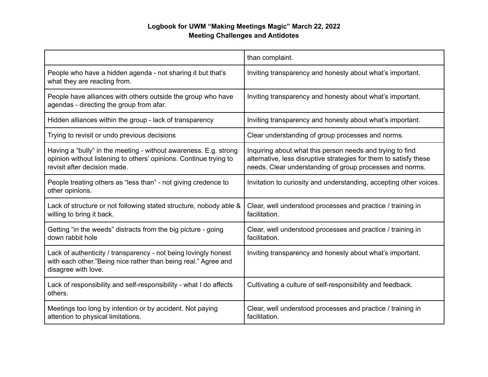## **Logbook for UWM "Making Meetings Magic" March 22, 2022 Meeting Challenges and Antidotes**

|                                                                                                                                                                       | than complaint.                                                                                                                                                                            |
|-----------------------------------------------------------------------------------------------------------------------------------------------------------------------|--------------------------------------------------------------------------------------------------------------------------------------------------------------------------------------------|
| People who have a hidden agenda - not sharing it but that's<br>what they are reacting from.                                                                           | Inviting transparency and honesty about what's important.                                                                                                                                  |
| People have alliances with others outside the group who have<br>agendas - directing the group from afar.                                                              | Inviting transparency and honesty about what's important.                                                                                                                                  |
| Hidden alliances within the group - lack of transparency                                                                                                              | Inviting transparency and honesty about what's important.                                                                                                                                  |
| Trying to revisit or undo previous decisions                                                                                                                          | Clear understanding of group processes and norms.                                                                                                                                          |
| Having a "bully" in the meeting - without awareness. E.g. strong<br>opinion without listening to others' opinions. Continue trying to<br>revisit after decision made. | Inquiring about what this person needs and trying to find<br>alternative, less disruptive strategies for them to satisfy these<br>needs. Clear understanding of group processes and norms. |
| People treating others as "less than" - not giving credence to<br>other opinions.                                                                                     | Invitation to curiosity and understanding, accepting other voices.                                                                                                                         |
| Lack of structure or not following stated structure, nobody able &<br>willing to bring it back.                                                                       | Clear, well understood processes and practice / training in<br>facilitation.                                                                                                               |
| Getting "in the weeds" distracts from the big picture - going<br>down rabbit hole                                                                                     | Clear, well understood processes and practice / training in<br>facilitation.                                                                                                               |
| Lack of authenticity / transparency - not being lovingly honest<br>with each other."Being nice rather than being real." Agree and<br>disagree with love.              | Inviting transparency and honesty about what's important.                                                                                                                                  |
| Lack of responsibility and self-responsibility - what I do affects<br>others.                                                                                         | Cultivating a culture of self-responsibility and feedback.                                                                                                                                 |
| Meetings too long by intention or by accident. Not paying<br>attention to physical limitations.                                                                       | Clear, well understood processes and practice / training in<br>facilitation.                                                                                                               |